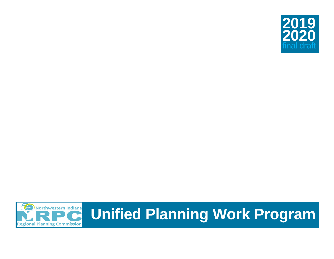



# **Unified Planning Work Program**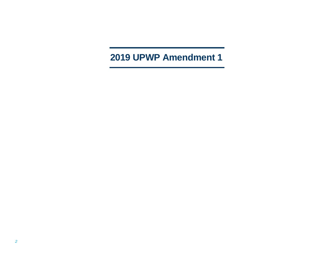# **2019 UPWP Amendment 1**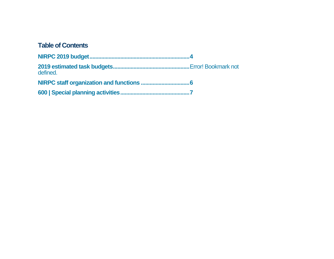### **Table of Contents**

| defined. |  |
|----------|--|
|          |  |
|          |  |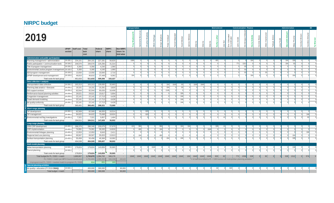# <span id="page-3-0"></span>**NIRPC budget**

|                                                               |                        |                  |                  |                          |                       |                          | <b>Transportation</b> |                        |                 |          |          |                  |                           |             |                |          |           |      | <b>Environment</b> |                |                                     | <b>Communication Finance</b>                                                       |              |                      |                |           |                             |      | Administration |          |                |               | E      |
|---------------------------------------------------------------|------------------------|------------------|------------------|--------------------------|-----------------------|--------------------------|-----------------------|------------------------|-----------------|----------|----------|------------------|---------------------------|-------------|----------------|----------|-----------|------|--------------------|----------------|-------------------------------------|------------------------------------------------------------------------------------|--------------|----------------------|----------------|-----------|-----------------------------|------|----------------|----------|----------------|---------------|--------|
| 2019                                                          |                        |                  |                  |                          |                       |                          | <b>Trey Wads</b>      | Biciur<br>elle<br>Gabr | മ<br>Char       | å<br>Ξ   | LĪ       | Kimball<br>Peter | Waddell<br>$\overline{e}$ | ye<br>Scott | 의              |          |           |      | Kathy              | ᆓ              | Educato<br>rdinator<br>Env.<br>Coor | Smith<br>John                                                                      | $\sqrt{2}$   | m<br><b>GU</b><br>និ | $\circ$        | Allen Han | Talaya                      | Lisa | Ξ              |          | Bro<br>Carolyn | Eklu<br>Candi | Ŝ<br>≧ |
|                                                               | <b>UPWP</b><br>section | Staff cost       | Total<br>task    | Federal<br>share         | <b>NIRPC</b><br>share | Non-NIRPC<br>share / in- |                       |                        |                 |          |          |                  |                           |             |                |          |           |      |                    |                |                                     |                                                                                    |              |                      |                |           |                             |      |                |          |                |               |        |
|                                                               |                        |                  | cost             |                          |                       | kind value               |                       |                        |                 |          |          |                  |                           |             |                |          |           |      |                    |                |                                     |                                                                                    |              |                      |                |           |                             |      |                |          |                |               |        |
| Administration and public participation                       |                        |                  |                  |                          |                       |                          |                       |                        |                 |          |          |                  |                           |             |                |          |           |      |                    |                |                                     |                                                                                    |              |                      |                |           |                             |      |                |          |                |               |        |
| Planning management + administration                          | 19-100.1               | 234,101          | 284,101          | 227,281                  | 56,820                | $\sim$                   | 1066                  |                        |                 |          |          |                  |                           |             |                |          |           |      | 492                |                |                                     |                                                                                    |              | 164                  |                |           |                             |      | 164            | 328      |                |               |        |
| Public participation + communication tools                    | 19-100.2               | 156,570          | 156,570          | 125,256                  | 31,314                | $\sim$                   |                       |                        |                 |          |          |                  |                           |             | $\Omega$       |          |           |      |                    |                |                                     | 771                                                                                | 1312         | $\Omega$             |                |           | $\Omega$                    |      | 164            | 82       |                |               |        |
| Title VI program management                                   | 19-100.3               | 5,300            | 5,300            | 4,240                    | 1,060                 | $\sim$                   |                       | $\Omega$               | $\Omega$        |          |          |                  |                           |             | $\overline{0}$ |          |           |      |                    |                |                                     | $\Omega$                                                                           | $\mathsf{R}$ | 01                   |                |           | $\mathbf{0}$                |      |                |          |                |               |        |
| Environmental Justice program management 19-100.4             |                        | 5,300            | 5,300            | 4,240                    | 1,060                 | $\sim$                   |                       | $\Omega$               | $\Omega$        |          |          |                  |                           |             | $\overline{0}$ |          |           |      |                    |                |                                     | $\Omega$                                                                           | 82           | -01                  |                |           | $\mathbf{0}$                |      |                | -01      |                |               |        |
| ADA program management                                        | 19-100.5               | 13,550           | 13,550           | 10,840                   | 2,710                 | $\sim$                   | ി                     | $\Omega$               | $\Omega$        | $\Omega$ | $\Omega$ | n.               | $\Omega$                  | n.          | $\overline{0}$ | $\Omega$ | $\Omega$  |      | $\Omega$           | $\Omega$       |                                     | $\Omega$                                                                           | <b>82</b>    | $\circ$              | $\Omega$       | 82        | 0                           |      | $\Omega$       | $\Omega$ |                |               |        |
| UPWP development and management                               | 19-100.6               | 46,810           | 46,810           | 37,448                   | 9,362                 | $\sim$                   | 164                   | $\overline{0}$         | $\Omega$        | $\Omega$ |          | $\Omega$         |                           |             | $\Omega$       |          | $\Omega$  |      |                    |                |                                     |                                                                                    |              | 164                  |                |           | 0                           |      | 0              | 164      |                |               |        |
| Total costs for task group                                    |                        | 461,633          | 511,633          | 409,306                  | 102,327               | $\sim$                   |                       |                        |                 |          |          |                  |                           |             |                |          |           |      |                    |                |                                     |                                                                                    |              |                      |                |           |                             |      |                |          |                |               |        |
| Data collection + analysis                                    |                        |                  |                  |                          |                       |                          |                       |                        |                 |          |          |                  |                           |             |                |          |           |      |                    |                |                                     |                                                                                    |              |                      |                |           |                             |      |                |          |                |               |        |
| Transportation data collection                                | 19-200.1<br>19-200.2   | 163,313          | 163,313          | 130,650                  | 32,663                | $\sim$                   |                       |                        | -01<br>$\Omega$ | $\Omega$ |          | 164<br>164       | 1640                      | 82<br> 82   | 01<br>$\Omega$ | 1640     | 1640<br>n |      | $\Omega$           |                | $\Omega$                            |                                                                                    |              | $\Omega$<br>01       |                |           | $\vert 0 \vert$<br>$\Omega$ |      | $\Omega$       | n<br>ി   |                |               |        |
| Planning data analsis + forecasts                             | 19-200.3               | 19,101<br>82,044 | 19,101<br>82,044 | 15,281<br>65,635         | 3,820<br>16,409       | $\sim$<br>$\sim$         |                       | - 01                   | $\Omega$        | $\Omega$ |          | 1148             |                           | $\Omega$    | $\overline{0}$ |          | $\Omega$  |      | n.                 | $\Omega$       | $\Omega$                            | $\Omega$                                                                           |              | 01                   |                |           | $\Omega$                    |      | $\Omega$       | -01      |                |               |        |
| GIS support services<br>Performance-based planning activities | 19-200.4               | 29,521           | 29,521           | 23,617                   | 5,904                 | $\sim$                   |                       |                        | $\Omega$        | $\Omega$ |          |                  |                           | 328         | $\Omega$       |          |           |      |                    |                |                                     |                                                                                    |              | $\Omega$             |                |           | $\Omega$                    |      | $\Omega$       |          |                |               |        |
| Congestion management                                         | 19-200.5               | 22,141           | 22,141           | 17,713                   | 4,428                 | $\sim$                   |                       |                        | $\Omega$        | $\Omega$ |          |                  |                           | 246         | $\Omega$       |          |           |      |                    |                | U                                   |                                                                                    |              | $\Omega$             |                |           |                             |      | $\Omega$       |          |                |               |        |
| Travel demand modeling                                        | 19-200.6               | 22,141           | 22,141           | 17,713                   | 4,428                 | $\sim$                   |                       |                        | $\Omega$        |          |          |                  |                           | 246         |                |          |           |      |                    |                |                                     |                                                                                    |              | ി                    |                |           |                             |      |                |          |                |               |        |
| Air quality conformity                                        | 19-200.7               | 22,141           | 22,141           | 17,713                   | 4,428                 | $\sim$                   |                       |                        |                 |          |          |                  |                           | 246         |                |          |           |      |                    |                |                                     |                                                                                    |              |                      |                |           |                             |      |                |          |                |               |        |
| Total costs for task group                                    |                        | 360,401          | 360,401          | 288,321                  | 72,080                | $\sim$                   |                       |                        |                 |          |          |                  |                           |             |                |          |           |      |                    |                |                                     |                                                                                    |              |                      |                |           |                             |      |                |          |                |               |        |
| Short-range planning                                          |                        |                  |                  |                          |                       |                          |                       |                        |                 |          |          |                  |                           |             |                |          |           |      |                    |                |                                     |                                                                                    |              |                      |                |           |                             |      |                |          |                |               |        |
| TIP development                                               | 19-300.1               | 82,569           | 82,569           | 66,055                   | 16,514                | $\sim$                   |                       |                        | 820             |          |          |                  |                           |             |                |          |           |      |                    |                |                                     |                                                                                    |              |                      |                |           |                             |      |                |          |                |               |        |
| TIP management                                                | 19-300.2               | 94,622           | 94,622           | 75,698                   | 18,924                | $\sim$                   |                       | n.                     | 820             | $\Omega$ |          |                  |                           |             | $\Omega$       |          |           |      |                    |                |                                     |                                                                                    |              |                      |                |           | $\Omega$                    |      | $\cap$         |          |                | 246           |        |
| Environmental red flag investigations                         | 19-300.3               | 7,321            | 7,321            | 5,857                    | 1,464                 | $\sim$                   | $\Omega$              | $\Omega$               | $\Omega$        | $\Omega$ |          |                  |                           |             | $\Omega$       | $\Omega$ | $\Omega$  |      | $\Omega$           | 41             | $\overline{0}$                      | $\Omega$                                                                           |              | $\Omega$             |                |           | $\Omega$                    |      | $\Omega$       | -01      |                | 82            |        |
| Total costs for task group                                    |                        | 184,511          | 184,511          | 147,609                  | 36,902                | $\sim$                   |                       |                        |                 |          |          |                  |                           |             |                |          |           |      |                    |                |                                     |                                                                                    |              |                      |                |           |                             |      |                |          |                |               |        |
| Long-range planning                                           |                        |                  |                  |                          |                       |                          |                       |                        |                 |          |          |                  |                           |             |                |          |           |      |                    |                |                                     |                                                                                    |              |                      |                |           |                             |      |                |          |                |               |        |
| 2050 CRP development                                          | 19-400.1               | 288,378          | 288,349          | 230,679                  | 57,670                | $\sim$                   | 410                   | 984                    | 0               |          | 984      |                  |                           | 164         | 164            |          |           |      | 328                | 41             |                                     |                                                                                    |              |                      |                |           |                             |      |                |          |                |               |        |
| CRP implementation                                            | 19-400.2               | 74,081           | 74,081           | 59,265                   | 14,816                | $\sim$                   |                       | 492                    | $\Omega$        | $\Omega$ | 164      |                  |                           |             | $\Omega$       |          | $\Omega$  | 1640 |                    |                | $\Omega$                            | $\Omega$                                                                           |              | ി                    |                |           | $\Omega$                    |      | $\Omega$       | ារ       |                |               |        |
| Environmental linkages planning                               | 19-400.3               | 12,053           | 12,053           | 9,643                    | 2,411                 | $\sim$                   |                       |                        | $\Omega$        | $\Omega$ |          |                  |                           |             | $\Omega$       |          |           |      |                    |                | $\Omega$                            | $\Omega$                                                                           |              | $\Omega$             |                |           | $\Omega$                    |      | $\Omega$       | $\Omega$ |                | 246           |        |
| Regional land use planning                                    | 19-400.4               | 69,567           | 69,567           | 55,653                   | 13,913                | $\sim$                   |                       | 164                    | 0               | $\Omega$ | 492      |                  |                           |             | $\Omega$       |          |           |      |                    | $\overline{0}$ | ٥l                                  | $\Omega$                                                                           |              | $\circ$              |                |           | 0                           |      | 0              | 164      |                |               |        |
| Surface transportation planning                               | 19-400.5               | 50,458           | 50,458           | 40,366                   | 10,092                | $\sim$                   |                       |                        |                 |          |          | 164              |                           | 246         |                |          |           |      |                    |                |                                     |                                                                                    |              | $\Omega$             |                |           | $\overline{0}$              |      | $\Omega$       | 328      |                |               |        |
| Total costs for task group                                    |                        | 494,538          | 494,509          | 395,607                  | 98,902                | $\sim$                   |                       |                        |                 |          |          |                  |                           |             |                |          |           |      |                    |                |                                     |                                                                                    |              |                      |                |           |                             |      |                |          |                |               |        |
| <b>Multi-modal planning</b>                                   |                        |                  |                  |                          |                       |                          |                       |                        |                 |          |          |                  |                           |             |                |          |           |      |                    |                |                                     |                                                                                    |              |                      |                |           |                             |      |                |          |                |               |        |
| Active transportation planning                                | 19-500.1               | 179,824          | 179,824          | 143,859                  | 35,965                | $\sim$                   |                       |                        |                 |          |          |                  |                           |             |                |          |           |      |                    |                |                                     |                                                                                    |              |                      |                |           |                             |      |                | 246      |                |               |        |
| Transit planning                                              | 19-500.2               | $\sim$           | $\sim$           | $\overline{\phantom{a}}$ | $\sim$                | $\sim$                   |                       |                        |                 |          |          |                  |                           |             |                |          |           |      |                    |                |                                     |                                                                                    |              |                      |                |           |                             |      |                |          |                |               |        |
| Total costs for task group                                    |                        | 179,824          | 179,824          | 143,859                  | 35,965                | $\sim$                   |                       |                        |                 |          |          |                  |                           |             |                |          |           |      |                    |                |                                     |                                                                                    |              |                      |                |           |                             |      |                |          |                |               |        |
| Total budget for PL / 5303 + match                            |                        | 1,680,907        | 1,730,878        | 1,384,702                | 346,176               | $\sim$                   | 1640                  | 1640                   | 1640            | 1640     | 1640     | 1640             | 1640                      | 1640        | 164            | 1640     | 1640      | 1640 | 820                | 82             |                                     | 771                                                                                | 1558         | 328                  | $\overline{0}$ | 82        | <b>O</b>                    |      | 328            | 1312     | 0              | 574           |        |
| PL / 5303 + match per MPO Council distribution                |                        |                  | 1,731,691        | 1,385,353                | 346,338               | 200,023                  |                       |                        |                 |          |          |                  |                           |             |                |          |           |      |                    |                |                                     | ^# of staff time billed to PL + 5303 across all metropolitan planning activities ^ |              |                      |                |           |                             |      |                |          |                |               |        |
| Unprogrammed PL / 5303 + needed match to program PL / 5303    |                        |                  | 814              | 651                      | 163                   |                          |                       |                        |                 |          |          |                  |                           |             |                |          |           |      |                    |                |                                     |                                                                                    |              |                      |                |           |                             |      |                |          |                |               |        |
| <b>Special planning activities</b>                            | 19-600.1               |                  |                  |                          |                       |                          |                       |                        |                 |          |          |                  |                           |             |                |          |           |      | 82                 |                | 820                                 |                                                                                    |              |                      |                |           |                             |      |                |          |                |               |        |
| Air quality + education (FY 2019 CMAQ)                        |                        | $\sim$           | 450,000          | 360,000<br>360,000       | $\sim$<br>$\sim$      | 90,000<br>90,000         |                       |                        |                 |          |          |                  |                           |             |                |          |           |      |                    |                |                                     |                                                                                    |              |                      |                |           |                             |      |                |          |                |               |        |
| Total budget + match                                          |                        |                  | 450,000          |                          |                       |                          |                       |                        |                 |          |          |                  |                           |             |                |          |           |      |                    |                |                                     |                                                                                    |              |                      |                |           |                             |      |                |          |                |               |        |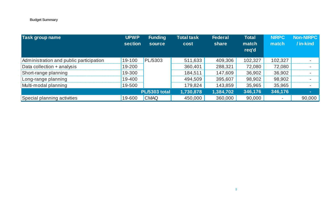| Task group name                         | <b>UPWP</b><br>section | <b>Funding</b><br>source | <b>Total task</b><br>cost | <b>Federal</b><br>share | <b>Total</b><br>match<br>req'd | <b>NIRPC</b><br>match    | <b>Non-NIRPC</b><br>/ in-kind |
|-----------------------------------------|------------------------|--------------------------|---------------------------|-------------------------|--------------------------------|--------------------------|-------------------------------|
| Administration and public participation | 19-100                 | PL/5303                  | 511,633                   | 409,306                 | 102,327                        | 102,327                  |                               |
| Data collection + analysis              | 19-200                 |                          | 360,401                   | 288,321                 | 72,080                         | 72,080                   |                               |
| Short-range planning                    | 19-300                 |                          | 184,511                   | 147,609                 | 36,902                         | 36,902                   |                               |
| Long-range planning                     | 19-400                 |                          | 494,509                   | 395,607                 | 98,902                         | 98,902                   |                               |
| Multi-modal planning                    | 19-500                 |                          | 179,824                   | 143,859                 | 35,965                         | 35,965                   |                               |
|                                         |                        | <b>PL/5303 total</b>     | 1,730,878                 | 1,384,702               | 346,176                        | 346,176                  | $\sim$                        |
| Special planning activities             | 19-600                 | <b>CMAQ</b>              | 450,000                   | 360,000                 | 90,000                         | $\overline{\phantom{a}}$ | 90,000                        |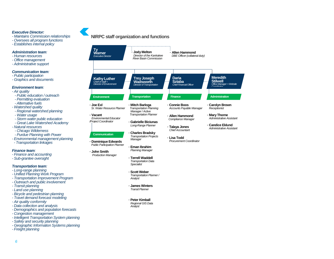#### *Executive Director:*

- *- Maintains Commission relationships*
- *- Oversees all program functions*
- *- Establishes internal policy*

#### *Administration team:*

- *- Human resources*
- *- Office management*
- *- Administrative support*

#### *Communication team:*

- *- Public participation*
- *- Graphics and documents*

#### *Environment team:*

- *- Air quality*
- *- Public education / outreach*
- *- Permitting evaluation*
- *- Alternative fuels*
- *- Watershed quality*
- *- Regional watershed planning*
- *- Water usage*
- *- Storm water public education*
- *- Great Lake Watershed Academy*
- *- Natural resources*
- *- Chicago Wilderness*
- *- Purdue Planning with Power*
- *- Environmental management planning*
- *- Transportation linkages*

#### *Finance team:*

- *- Finance and accounting*
- *- Sub-grantee oversight*

#### *Transportation team:*

- *- Long-range planning*
- *- Unified Planning Work Program*
- *- Transportation Improvement Program*
- *- Outreach and public involvement*
- *- Transit planning*
- *- Land use planning*
- *- Bicycle and pedestrian planning*
- *- Travel demand forecast modeling*
- *- Air quality conformity*
- *- Data collection and analysis*
- *- Demographics and population forecasts*
- *- Congestion management*
- *- Intelligent Transportation System planning*
- *- Safety and security planning*
- *- Geographic Information Systems planning*
- *- Freight planning*

<span id="page-5-0"></span>

 *Manager*

- **Dominique Edwards** *Public Participation Planner*

- **John Smith**  *Production Manager*

 *Analyst*

- **James Winters**  *Transit Planner*

- **Peter Kimball**  *Regional GIS Data Analyst*

- **Eman Ibrahim**  *Planning Manager* - **Terrell Waddell**  *Transportation Data Specialist* - **Scott Weber**  *Transportation Planner /* 



- **Lisa Todd**  *Procurement Coordinator*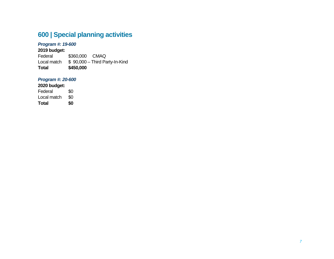## <span id="page-6-0"></span>**600 | Special planning activities**

#### *Program #: 19-600*

**2019 budget:**  \$360,000 CMAQ Local match  $$ 90,000 - Third Party-In-Kind$ **Total \$450,000**

#### *Program #: 20-600*

**2020 budget:**

Federal \$0<br>Local match \$0 Local match \$0<br>Total \$0 **Total \$0**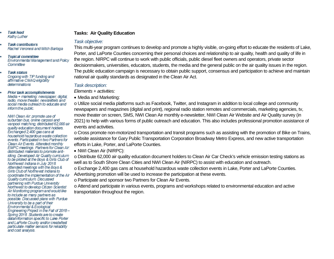- **Task lead** Kathy Luther
- **Task contributors** Rachel Veronesi and Mitch Barloga
- **Topical committee** Environmental Management and Policy Committee
- **Task status** Ongoing with TIP funding and affirmative CMAQ eligibility determinations
- Prior task accomplishments ٠ Media + marketing: newspaper, digital, radio, movie theater, newsletters and social media outreach to educate and inform the public.

NWI Clean Air, promote use of suburban bus, online carpool and vanpool matching, distributed 62,000 air quality education document holders. Exchanged 2,400 gas cans at household hazardous waste collection events. Participated in two Partners for Clean Air Events. Attended monthly EMPC meetings. Partners for Clean Air: distributed materials to promote antiidling. Developed Air Quality curriculum to be piloted at the Boys & Girls Club of Northwest Indiana in July 2018. Attended meetings with the Boys & Girls Club of Northwest Indiana to coordinate the implementation of the Air Quality curriculum Discussed partnering with Purdue University Northwest to develop Citizen Scientist Air Monitoring program and would like to include as many partners as possible. Discussed plans with Purdue University to be a part of their Environmental & Ecological Engineering Project in the Fall of 2018 -Spring 2018. Students are to create data/information specific to Lake Porter and LaPorte County and/or create/test particulate matter sensors for reliability and cost analysis.

#### **Tasks: Air Quality Education**

#### *Task objective:*

This multi-year program continues to develop and promote a highly visible, on-going effort to educate the residents of Lake, Porter, and LaPorte Counties concerning their personal choices and relationship to air quality, health and quality of life in the region. NIRPC will continue to work with public officials, public diesel fleet owners and operators, private sector decisionmakers, universities, educators, students, the media and the general public on the air quality issues in the region. The public education campaign is necessary to obtain public support, consensus and participation to achieve and maintain national air quality standards as designated in the Clean Air Act.

#### *Task description:*

*Elements + activities:*

• Media and Marketing:

o Utilize social media platforms such as Facebook, Twitter, and Instagram in addition to local college and community newspapers and magazines (digital and print), regional radio station remotes and commercials, marketing agencies, tv, movie theater on screen, SMS, NWI Clean Air monthly e-newsletter, NWI Clean Air Website and Air Quality survey (in 2021) to help with various forms of public outreach and education. This also includes professional promotion assistance of events and activities.

o Cross promote non-motorized transportation and transit programs such as assisting with the promotion of Bike on Trains, website assistance for Gary Public Transportation Corporation Broadway Metro Express, and new active transportation efforts in Lake, Porter, and LaPorte Counties.

• NWI Clean Air (NIRPC):

o Distribute 62,000 air quality education document holders to Clean Air Car Check's vehicle emission testing stations as well as to South Shore Clean Cities and NWI Clean Air (NIRPC) to assist with education and outreach.

o Exchange 2,400 gas cans at household hazardous waste collection events in Lake, Porter and LaPorte Counties. Advertising promotion will be used to increase the participation at these events.

o Participate and sponsor two Partners for Clean Air Events.

o Attend and participate in various events, programs and workshops related to environmental education and active transportation throughout the region.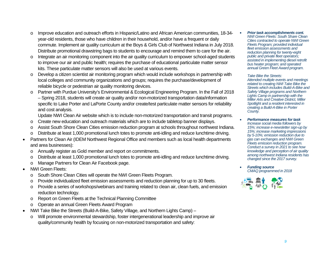- o Improve education and outreach efforts in Hispanic/Latino and African American communities, 18-34 year-old residents, those who have children in their household, and/or have a frequent or daily commute. Implement air quality curriculum at the Boys & Girls Club of Northwest Indiana in July 2018. Distribute promotional drawstring bags to students to encourage and remind them to care for the air.
- $\circ$  Integrate an air monitoring component into the air quality curriculum to empower school-aged students to improve our air and public health; requires the purchase of educational particulate matter sensor kits. These particulate matter sensors will also be used at various events.
- o Develop a citizen scientist air monitoring program which would include workshops in partnership with local colleges and community organizations and groups; requires the purchase/development of reliable bicycle or pedestrian air quality monitoring devices.
- o Partner with Purdue University's Environmental & Ecological Engineering Program. In the Fall of 2018 – Spring 2018, students will create air quality and/or non-motorized transportation data/information specific to Lake Porter and LaPorte County and/or create/test particulate matter sensors for reliability and cost analysis.

Update NWI Clean Air website which is to include non-motorized transportation and transit programs.

- o Create new education and outreach materials which are to include tabletop banner displays.
- o Assist South Shore Clean Cities emission reduction program at schools throughout northwest Indiana.
- Distribute at least 1,000 promotional lunch totes to promote anti-idling and reduce lunchtime driving.
- Partners for Clean Air (IDEM Northwest Regional Office and members such as local health departments and area businesses):
	- o Annually register as Gold member and report on commitments.
	- o Distribute at least 1,000 promotional lunch totes to promote anti-idling and reduce lunchtime driving.
	- o Manage Partners for Clean Air Facebook page.
- NWI Green Fleets:
	- o South Shore Clean Cities will operate the NWI Green Fleets Program.
	- o Provide individualized fleet emission assessments and reduction planning for up to 30 fleets.
	- o Provide a series of workshops/webinars and training related to clean air, clean fuels, and emission reduction technology.
	- o Report on Green Fleets at the Technical Planning Committee
	- o Operate an annual Green Fleets Award Program
- NWI Take Bike the Streets (Build-A-Bike, Safety Village, and Northern Lights Camp)
	- o Will promote environmental stewardship, foster intergenerational leadership and improve air quality/community health by focusing on non-motorized transportation and safety:

• *Prior task accomplishments cont. NWI Green Fleets: South Share Clean Cities contracted to operate NWI Green Fleets Program; provided individual fleet emission assessments and reduction planning for twenty-eight public and private fleet operators; assisted in implementing diesel retrofit bus heater program; and operated annual Green Fleet Award program.*

*Take Bike the Streets: Attended multiple events and meetings related to creating NWI Take Bike the Streets which includes Build-A-Bike and Safety Village programs and Northern Lights Camp in partnership with the Miller Arts and Creative District, Miller Spotlight and a resident interested in creating a Build-A-Bike in Porter County.*

- *Performance measures for task Increase social media followers by 15%; increase e-newsletter sign-up by 15%; increase marketing impressions by 5-10%; emission reduction due to gas can exchanges and NWI Green Fleets emission reduction program. Conduct a survey in 2021 to see how knowledge and perception of air quality among northwest Indiana residents has changed since the 2017 survey.*
- *Funding source CMAQ programmed in 2018*

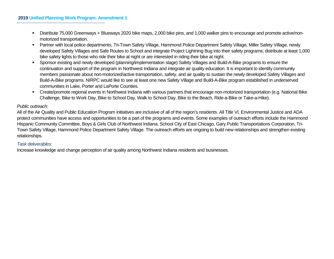- Distribute 75,000 Greenways + Blueways 2020 bike maps, 2,000 bike pins, and 1,000 walker pins to encourage and promote active/nonmotorized transportation.
- Partner with local police departments, Tri-Town Safety Village, Hammond Police Department Safety Village, Miller Safety Village, newly developed Safety Villages and Safe Routes to School and integrate Project Lightning Bug into their safety programs; distribute at least 1,000 bike safety lights to those who ride their bike at night or are interested in riding their bike at night.
- Sponsor existing and newly developed (planning/implementation stage) Safety Villages and Build-A-Bike programs to ensure the continuation and support of the program in Northwest Indiana and integrate air quality education. It is important to identify community members passionate about non-motorized/active transportation, safety, and air quality to sustain the newly developed Safety Villages and Build-A-Bike programs. NIRPC would like to see at least one new Safety Village and Build-A-Bike program established in underserved communities in Lake, Porter and LaPorte Counties.
- Create/promote regional events in Northwest Indiana with various partners that encourage non-motorized transportation (e.g. National Bike Challenge, Bike to Work Day, Bike to School Day, Walk to School Day, Bike to the Beach, Ride-a-Bike or Take-a-Hike).

#### *Public outreach:*

All of the Air Quality and Public Education Program initiatives are inclusive of all of the region's residents. All Title VI, Environmental Justice and ADA protect communities have access and opportunities to be a part of the programs and events. Some examples of outreach efforts include the Hammond Hispanic Community Committee, Boys & Girls Club of Northwest Indiana, School City of East Chicago, Gary Public Transportations Corporation, Tri-Town Safety Village, Hammond Police Department Safety Village. The outreach efforts are ongoing to build new relationships and strengthen existing relationships.

#### *Task deliverables:*

Increase knowledge and change perception of air quality among Northwest Indiana residents and businesses.